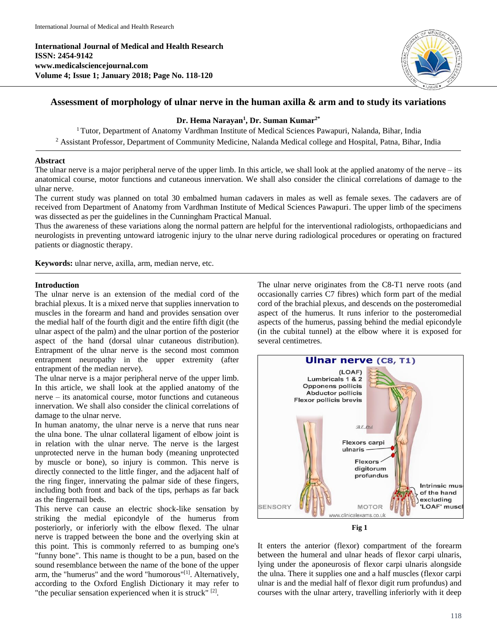**International Journal of Medical and Health Research ISSN: 2454-9142 www.medicalsciencejournal.com Volume 4; Issue 1; January 2018; Page No. 118-120**



# **Assessment of morphology of ulnar nerve in the human axilla & arm and to study its variations**

# **Dr. Hema Narayan<sup>1</sup> , Dr. Suman Kumar2\***

<sup>1</sup> Tutor, Department of Anatomy Vardhman Institute of Medical Sciences Pawapuri, Nalanda, Bihar, India <sup>2</sup> Assistant Professor, Department of Community Medicine, Nalanda Medical college and Hospital, Patna, Bihar, India

### **Abstract**

The ulnar nerve is a major peripheral nerve of the upper limb. In this article, we shall look at the applied anatomy of the nerve – its anatomical course, motor functions and cutaneous innervation. We shall also consider the clinical correlations of damage to the ulnar nerve.

The current study was planned on total 30 embalmed human cadavers in males as well as female sexes. The cadavers are of received from Department of Anatomy from Vardhman Institute of Medical Sciences Pawapuri. The upper limb of the specimens was dissected as per the guidelines in the Cunningham Practical Manual.

Thus the awareness of these variations along the normal pattern are helpful for the interventional radiologists, orthopaedicians and neurologists in preventing untoward iatrogenic injury to the ulnar nerve during radiological procedures or operating on fractured patients or diagnostic therapy.

**Keywords:** ulnar nerve, axilla, arm, median nerve, etc.

#### **Introduction**

The ulnar nerve is an extension of the medial cord of the brachial plexus. It is a mixed nerve that supplies innervation to muscles in the forearm and hand and provides sensation over the medial half of the fourth digit and the entire fifth digit (the ulnar aspect of the palm) and the ulnar portion of the posterior aspect of the hand (dorsal ulnar cutaneous distribution). Entrapment of the ulnar nerve is the second most common entrapment neuropathy in the upper extremity (after entrapment of the median nerve).

The ulnar nerve is a major peripheral nerve of the upper limb. In this article, we shall look at the applied anatomy of the nerve – its anatomical course, motor functions and cutaneous innervation. We shall also consider the clinical correlations of damage to the ulnar nerve.

In human anatomy, the ulnar nerve is a nerve that runs near the ulna bone. The ulnar collateral ligament of elbow joint is in relation with the ulnar nerve. The nerve is the largest unprotected nerve in the human body (meaning unprotected by muscle or bone), so injury is common. This nerve is directly connected to the little finger, and the adjacent half of the ring finger, innervating the palmar side of these fingers, including both front and back of the tips, perhaps as far back as the fingernail beds.

This nerve can cause an electric shock-like sensation by striking the medial epicondyle of the humerus from posteriorly, or inferiorly with the elbow flexed. The ulnar nerve is trapped between the bone and the overlying skin at this point. This is commonly referred to as bumping one's "funny bone". This name is thought to be a pun, based on the sound resemblance between the name of the bone of the upper arm, the "humerus" and the word "humorous"[1]. Alternatively, according to the Oxford English Dictionary it may refer to "the peculiar sensation experienced when it is struck" [2].

The ulnar nerve originates from the C8-T1 nerve roots (and occasionally carries C7 fibres) which form part of the medial cord of the brachial plexus, and descends on the posteromedial aspect of the humerus. It runs inferior to the posteromedial aspects of the humerus, passing behind the medial epicondyle (in the cubital tunnel) at the elbow where it is exposed for several centimetres.



It enters the anterior (flexor) compartment of the forearm between the humeral and ulnar heads of flexor carpi ulnaris, lying under the aponeurosis of flexor carpi ulnaris alongside the ulna. There it supplies one and a half muscles (flexor carpi ulnar is and the medial half of flexor digit rum profundus) and courses with the ulnar artery, travelling inferiorly with it deep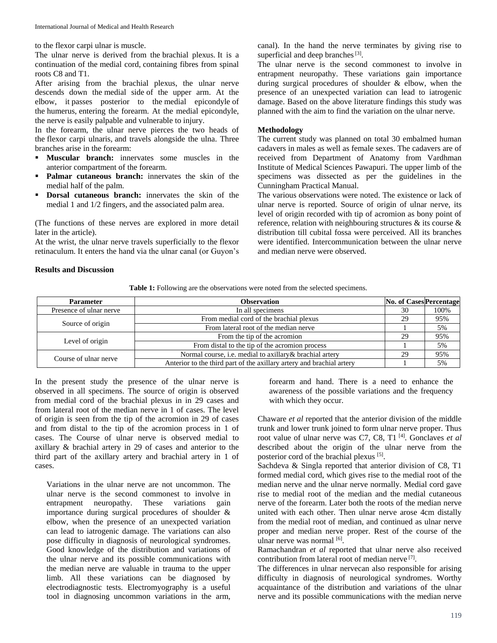to the flexor carpi ulnar is muscle.

The ulnar nerve is derived from the brachial plexus. It is a continuation of the medial cord, containing fibres from spinal roots C8 and T1.

After arising from the brachial plexus, the ulnar nerve descends down the medial side of the upper arm. At the elbow, it passes posterior to the medial epicondyle of the humerus, entering the forearm. At the medial epicondyle, the nerve is easily palpable and vulnerable to injury.

In the forearm, the ulnar nerve pierces the two heads of the flexor carpi ulnaris, and travels alongside the ulna. Three branches arise in the forearm:

- **Muscular branch:** innervates some muscles in the anterior compartment of the forearm.
- **Palmar cutaneous branch:** innervates the skin of the medial half of the palm.
- **Dorsal cutaneous branch:** innervates the skin of the medial 1 and 1/2 fingers, and the associated palm area.

(The functions of these nerves are explored in more detail later in the article).

At the wrist, the ulnar nerve travels superficially to the flexor retinaculum. It enters the hand via the ulnar canal (or Guyon's canal). In the hand the nerve terminates by giving rise to superficial and deep branches $^{[3]}$ .

The ulnar nerve is the second commonest to involve in entrapment neuropathy. These variations gain importance during surgical procedures of shoulder & elbow, when the presence of an unexpected variation can lead to iatrogenic damage. Based on the above literature findings this study was planned with the aim to find the variation on the ulnar nerve.

### **Methodology**

The current study was planned on total 30 embalmed human cadavers in males as well as female sexes. The cadavers are of received from Department of Anatomy from Vardhman Institute of Medical Sciences Pawapuri. The upper limb of the specimens was dissected as per the guidelines in the Cunningham Practical Manual.

The various observations were noted. The existence or lack of ulnar nerve is reported. Source of origin of ulnar nerve, its level of origin recorded with tip of acromion as bony point of reference, relation with neighbouring structures & its course & distribution till cubital fossa were perceived. All its branches were identified. Intercommunication between the ulnar nerve and median nerve were observed.

#### **Results and Discussion**

**Table 1:** Following are the observations were noted from the selected specimens.

| <b>Parameter</b>        | <b>Observation</b>                                                    | <b>No. of Cases Percentage</b> |      |
|-------------------------|-----------------------------------------------------------------------|--------------------------------|------|
| Presence of ulnar nerve | In all specimens                                                      | 30                             | 100% |
| Source of origin        | From medial cord of the brachial plexus                               | 29                             | 95%  |
|                         | From lateral root of the median nerve                                 |                                | 5%   |
| Level of origin         | From the tip of the acromion                                          | 29                             | 95%  |
|                         | From distal to the tip of the acromion process                        |                                | 5%   |
| Course of ulnar nerve   | Normal course, i.e. medial to axillary & brachial artery              | 29                             | 95%  |
|                         | Anterior to the third part of the axillary artery and brachial artery |                                | 5%   |

In the present study the presence of the ulnar nerve is observed in all specimens. The source of origin is observed from medial cord of the brachial plexus in in 29 cases and from lateral root of the median nerve in 1 of cases. The level of origin is seen from the tip of the acromion in 29 of cases and from distal to the tip of the acromion process in 1 of cases. The Course of ulnar nerve is observed medial to axillary & brachial artery in 29 of cases and anterior to the third part of the axillary artery and brachial artery in 1 of cases.

Variations in the ulnar nerve are not uncommon. The ulnar nerve is the second commonest to involve in entrapment neuropathy. These variations gain importance during surgical procedures of shoulder & elbow, when the presence of an unexpected variation can lead to iatrogenic damage. The variations can also pose difficulty in diagnosis of neurological syndromes. Good knowledge of the distribution and variations of the ulnar nerve and its possible communications with the median nerve are valuable in trauma to the upper limb. All these variations can be diagnosed by electrodiagnostic tests. Electromyography is a useful tool in diagnosing uncommon variations in the arm,

forearm and hand. There is a need to enhance the awareness of the possible variations and the frequency with which they occur.

Chaware *et al* reported that the anterior division of the middle trunk and lower trunk joined to form ulnar nerve proper. Thus root value of ulnar nerve was C7, C8, T1<sup>[4]</sup>. Gonclaves *et al* described about the origin of the ulnar nerve from the posterior cord of the brachial plexus [5].

Sachdeva & Singla reported that anterior division of C8, T1 formed medial cord, which gives rise to the medial root of the median nerve and the ulnar nerve normally. Medial cord gave rise to medial root of the median and the medial cutaneous nerve of the forearm. Later both the roots of the median nerve united with each other. Then ulnar nerve arose 4cm distally from the medial root of median, and continued as ulnar nerve proper and median nerve proper. Rest of the course of the ulnar nerve was normal [6].

Ramachandran *et al* reported that ulnar nerve also received contribution from lateral root of median nerve [7] .

The differences in ulnar nervecan also responsible for arising difficulty in diagnosis of neurological syndromes. Worthy acquaintance of the distribution and variations of the ulnar nerve and its possible communications with the median nerve